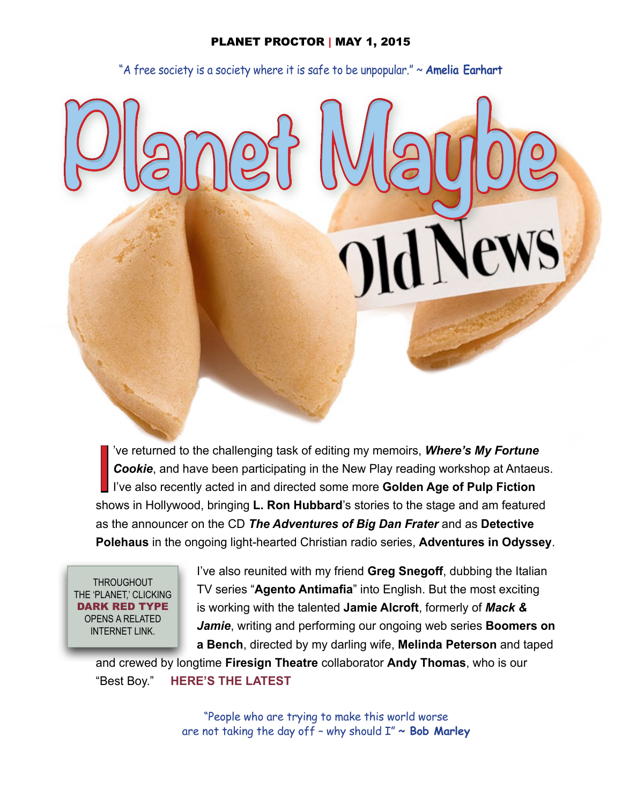### PLANET PROCTOR | MAY 1, 2015

"A free society is a society where it is safe to be unpopular." ~ **Amelia Earhart**

**Planet Maybe**

Ve returned to the challenging task of editing my memoirs, **Where's My Fortune**<br> **Cookie**, and have been participating in the New Play reading workshop at Antaeus<br>
I've also recently acted in and directed some more **Golden** 've returned to the challenging task of editing my memoirs, *Where's My Fortune Cookie*, and have been participating in the New Play reading workshop at Antaeus. I've also recently acted in and directed some more **Golden Age of Pulp Fiction** as the announcer on the CD *The Adventures of Big Dan Frater* and as **Detective Polehaus** in the ongoing light-hearted Christian radio series, **Adventures in Odyssey**.

**THROUGHOUT** THE 'PLANET,' CLICKING DARK RED TYPE OPENS A RELATED INTERNET LINK.

I've also reunited with my friend **Greg Snegoff**, dubbing the Italian TV series "**Agento Antimafia**" into English. But the most exciting is working with the talented **Jamie Alcroft**, formerly of *Mack & Jamie*, writing and performing our ongoing web series **Boomers on a Bench**, directed by my darling wife, **Melinda Peterson** and taped

and crewed by longtime **Firesign Theatre** collaborator **Andy Thomas**, who is our "Best Boy." **[HERE'S THE LATEST](https://www.youtube.com/channel/UCGz_4vJNLwgFrLR3N0RN1Tw)**

> "People who are trying to make this world worse are not taking the day off – why should I" **~ Bob Marley**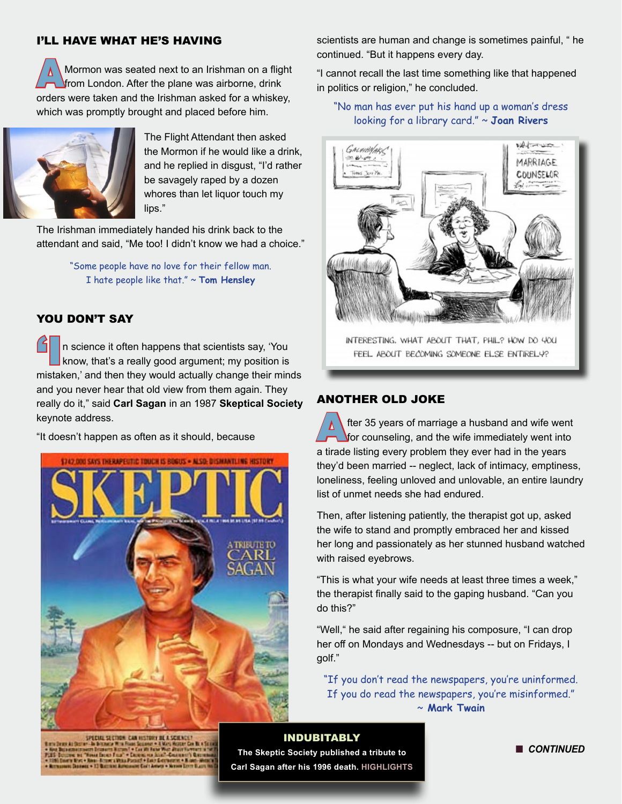### I'LL HAVE WHAT HE'S HAVING

**AMormon was seated next to an Irishman on a flight** from London. After the plane was airborne, drink orders were taken and the Irishman asked for a whiskey, which was promptly brought and placed before him.



The Flight Attendant then asked the Mormon if he would like a drink, and he replied in disgust, "I'd rather be savagely raped by a dozen whores than let liquor touch my lips."

The Irishman immediately handed his drink back to the attendant and said, "Me too! I didn't know we had a choice."

> "Some people have no love for their fellow man. I hate people like that." ~ **Tom Hensley**

# YOU DON'T SAY

In science it often happens that scientists say, 'You know, that's a really good argument; my position is mistaken,' and then they would actually change their minds and you never hear that old view from them again. They really do it," said **Carl Sagan** in an 1987 **Skeptical Society** keynote address.

"It doesn't happen as often as it should, because



scientists are human and change is sometimes painful, " he continued. "But it happens every day.

"I cannot recall the last time something like that happened in politics or religion," he concluded.

### "No man has ever put his hand up a woman's dress looking for a library card." ~ **Joan Rivers**



INTERESTING. WHAT ABOUT THAT, PHIL? HOW DO YOU FEEL ABOUT BECOMING SOMEONE ELSE ENTIRELY?

# ANOTHER OLD JOKE

fter 35 years of marriage a husband and wife went for counseling, and the wife immediately went into a tirade listing every problem they ever had in the years they'd been married -- neglect, lack of intimacy, emptiness, loneliness, feeling unloved and unlovable, an entire laundry list of unmet needs she had endured.

Then, after listening patiently, the therapist got up, asked the wife to stand and promptly embraced her and kissed her long and passionately as her stunned husband watched with raised eyebrows.

"This is what your wife needs at least three times a week," the therapist finally said to the gaping husband. "Can you do this?"

"Well," he said after regaining his composure, "I can drop her off on Mondays and Wednesdays -- but on Fridays, I golf."

"If you don't read the newspapers, you're uninformed. If you do read the newspapers, you're misinformed." ~ **Mark Twain**

SPECIAL SECTION: CAN HISTORY BE A SCIENCE

#### INDUBITABLY

**The Skeptic Society published a tribute to Carl Sagan after his 1996 death. [HIGHLIGHTS](http://www.skeptic.com/reading_room/in-the-words-of-carl-sagan/)** **n** CONTINUED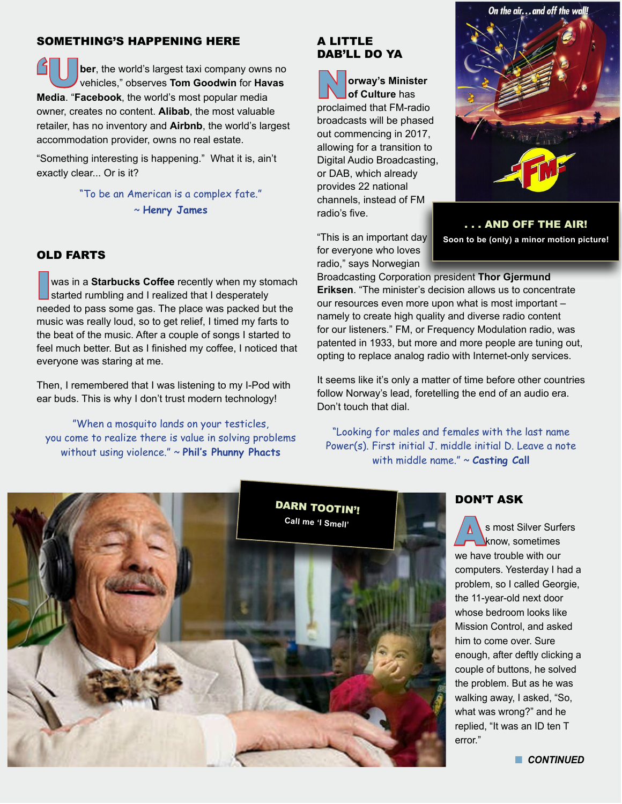### SOMETHING'S HAPPENING HERE

ber, the world's largest taxi company owns no vehicles," observes **Tom Goodwin** for **Havas Media**. "**Facebook**, the world's most popular media owner, creates no content. **Alibab**, the most valuable retailer, has no inventory and **Airbnb**, the world's largest accommodation provider, owns no real estate.

"Something interesting is happening." What it is, ain't exactly clear... Or is it?

> "To be an American is a complex fate." ~ **Henry James**

### OLD FARTS

was in a **Starbucks Coffee** recently when my stomach started rumbling and I realized that I desperately needed to pass some gas. The place was packed but the music was really loud, so to get relief, I timed my farts to the beat of the music. After a couple of songs I started to feel much better. But as I finished my coffee, I noticed that everyone was staring at me.

Then, I remembered that I was listening to my I-Pod with ear buds. This is why I don't trust modern technology!

"When a mosquito lands on your testicles, you come to realize there is value in solving problems without using violence." ~ **Phil's Phunny Phacts**

# A LITTLE DAB'LL DO YA

N**orway's Minister of Culture** has proclaimed that FM-radio broadcasts will be phased out commencing in 2017, allowing for a transition to Digital Audio Broadcasting, or DAB, which already provides 22 national channels, instead of FM radio's five.

"This is an important day for everyone who loves radio," says Norwegian



. . . AND OFF THE AIR! **Soon to be (only) a minor motion picture!**

Broadcasting Corporation president **Thor Gjermund Eriksen**. "The minister's decision allows us to concentrate our resources even more upon what is most important – namely to create high quality and diverse radio content for our listeners." FM, or Frequency Modulation radio, was patented in 1933, but more and more people are tuning out, opting to replace analog radio with Internet-only services.

It seems like it's only a matter of time before other countries follow Norway's lead, foretelling the end of an audio era. Don't touch that dial.

"Looking for males and females with the last name Power(s). First initial J. middle initial D. Leave a note with middle name." ~ **Casting Call** 



# DON'T ASK

s most Silver Surfers know, sometimes we have trouble with our computers. Yesterday I had a problem, so I called Georgie, the 11-year-old next door whose bedroom looks like Mission Control, and asked him to come over. Sure enough, after deftly clicking a couple of buttons, he solved the problem. But as he was walking away, I asked, "So, what was wrong?" and he replied, "It was an ID ten T error."